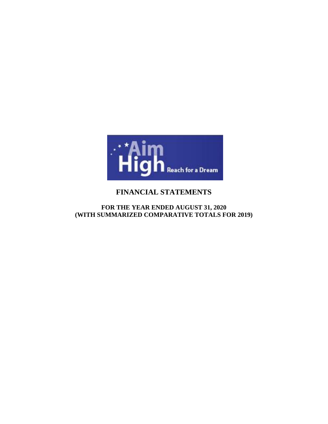

# **FINANCIAL STATEMENTS**

## **FOR THE YEAR ENDED AUGUST 31, 2020 (WITH SUMMARIZED COMPARATIVE TOTALS FOR 2019)**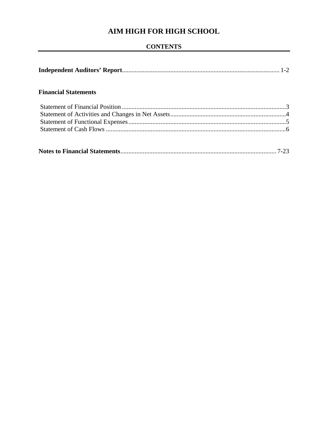## **CONTENTS**

|--|--|--|--|

## **Financial Statements**

|--|--|--|--|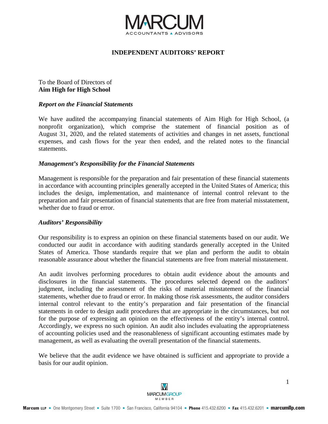

## **INDEPENDENT AUDITORS' REPORT**

## To the Board of Directors of **Aim High for High School**

### *Report on the Financial Statements*

We have audited the accompanying financial statements of Aim High for High School, (a nonprofit organization), which comprise the statement of financial position as of August 31, 2020, and the related statements of activities and changes in net assets, functional expenses, and cash flows for the year then ended, and the related notes to the financial statements.

### *Management's Responsibility for the Financial Statements*

Management is responsible for the preparation and fair presentation of these financial statements in accordance with accounting principles generally accepted in the United States of America; this includes the design, implementation, and maintenance of internal control relevant to the preparation and fair presentation of financial statements that are free from material misstatement, whether due to fraud or error.

#### *Auditors' Responsibility*

Our responsibility is to express an opinion on these financial statements based on our audit. We conducted our audit in accordance with auditing standards generally accepted in the United States of America. Those standards require that we plan and perform the audit to obtain reasonable assurance about whether the financial statements are free from material misstatement.

An audit involves performing procedures to obtain audit evidence about the amounts and disclosures in the financial statements. The procedures selected depend on the auditors' judgment, including the assessment of the risks of material misstatement of the financial statements, whether due to fraud or error. In making those risk assessments, the auditor considers internal control relevant to the entity's preparation and fair presentation of the financial statements in order to design audit procedures that are appropriate in the circumstances, but not for the purpose of expressing an opinion on the effectiveness of the entity's internal control. Accordingly, we express no such opinion. An audit also includes evaluating the appropriateness of accounting policies used and the reasonableness of significant accounting estimates made by management, as well as evaluating the overall presentation of the financial statements.

We believe that the audit evidence we have obtained is sufficient and appropriate to provide a basis for our audit opinion.



1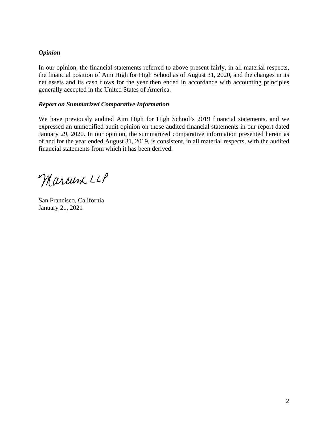## *Opinion*

In our opinion, the financial statements referred to above present fairly, in all material respects, the financial position of Aim High for High School as of August 31, 2020, and the changes in its net assets and its cash flows for the year then ended in accordance with accounting principles generally accepted in the United States of America.

## *Report on Summarized Comparative Information*

We have previously audited Aim High for High School's 2019 financial statements, and we expressed an unmodified audit opinion on those audited financial statements in our report dated January 29, 2020. In our opinion, the summarized comparative information presented herein as of and for the year ended August 31, 2019, is consistent, in all material respects, with the audited financial statements from which it has been derived.

Marcum LLP

San Francisco, California January 21, 2021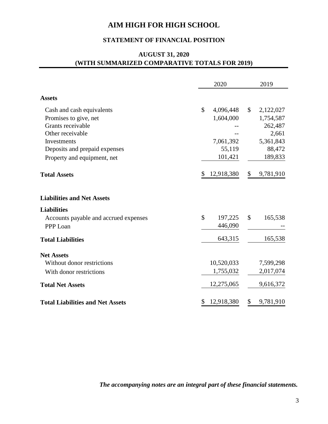## **STATEMENT OF FINANCIAL POSITION**

# **AUGUST 31, 2020 (WITH SUMMARIZED COMPARATIVE TOTALS FOR 2019)**

|                                                                            | 2020                         | 2019                                              |
|----------------------------------------------------------------------------|------------------------------|---------------------------------------------------|
| <b>Assets</b>                                                              |                              |                                                   |
| Cash and cash equivalents<br>Promises to give, net<br>Grants receivable    | \$<br>4,096,448<br>1,604,000 | $\mathbb{S}$<br>2,122,027<br>1,754,587<br>262,487 |
| Other receivable<br>Investments<br>Deposits and prepaid expenses           | 7,061,392<br>55,119          | 2,661<br>5,361,843<br>88,472                      |
| Property and equipment, net<br><b>Total Assets</b>                         | 101,421<br>12,918,380<br>\$  | 189,833<br>$\mathbb{S}$<br>9,781,910              |
| <b>Liabilities and Net Assets</b>                                          |                              |                                                   |
| <b>Liabilities</b><br>Accounts payable and accrued expenses<br>PPP Loan    | \$<br>197,225<br>446,090     | $\mathbb{S}$<br>165,538                           |
| <b>Total Liabilities</b>                                                   | 643,315                      | 165,538                                           |
| <b>Net Assets</b><br>Without donor restrictions<br>With donor restrictions | 10,520,033<br>1,755,032      | 7,599,298<br>2,017,074                            |
| <b>Total Net Assets</b>                                                    | 12,275,065                   | 9,616,372                                         |
| <b>Total Liabilities and Net Assets</b>                                    | 12,918,380                   | \$<br>9,781,910                                   |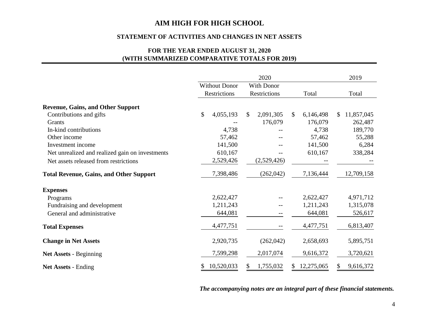#### **STATEMENT OF ACTIVITIES AND CHANGES IN NET ASSETS**

## **FOR THE YEAR ENDED AUGUST 31, 2020 (WITH SUMMARIZED COMPARATIVE TOTALS FOR 2019)**

|                                                 |                      | 2020         |    |              |              |            |                | 2019       |
|-------------------------------------------------|----------------------|--------------|----|--------------|--------------|------------|----------------|------------|
|                                                 | <b>Without Donor</b> |              |    | With Donor   |              |            |                |            |
|                                                 |                      | Restrictions |    | Restrictions |              | Total      |                | Total      |
| <b>Revenue, Gains, and Other Support</b>        |                      |              |    |              |              |            |                |            |
| Contributions and gifts                         | \$                   | 4,055,193    | S. | 2,091,305    | $\mathbb{S}$ | 6,146,498  | $\mathbb{S}^-$ | 11,857,045 |
| Grants                                          |                      |              |    | 176,079      |              | 176,079    |                | 262,487    |
| In-kind contributions                           |                      | 4,738        |    |              |              | 4,738      |                | 189,770    |
| Other income                                    |                      | 57,462       |    | $-1$         |              | 57,462     |                | 55,288     |
| Investment income                               |                      | 141,500      |    |              |              | 141,500    |                | 6,284      |
| Net unrealized and realized gain on investments |                      | 610,167      |    |              |              | 610,167    |                | 338,284    |
| Net assets released from restrictions           |                      | 2,529,426    |    | (2,529,426)  |              |            |                |            |
| <b>Total Revenue, Gains, and Other Support</b>  |                      | 7,398,486    |    | (262, 042)   |              | 7,136,444  |                | 12,709,158 |
| <b>Expenses</b>                                 |                      |              |    |              |              |            |                |            |
| Programs                                        |                      | 2,622,427    |    |              |              | 2,622,427  |                | 4,971,712  |
| Fundraising and development                     |                      | 1,211,243    |    |              |              | 1,211,243  |                | 1,315,078  |
| General and administrative                      |                      | 644,081      |    |              |              | 644,081    |                | 526,617    |
| <b>Total Expenses</b>                           |                      | 4,477,751    |    |              |              | 4,477,751  |                | 6,813,407  |
| <b>Change in Net Assets</b>                     |                      | 2,920,735    |    | (262,042)    |              | 2,658,693  |                | 5,895,751  |
| <b>Net Assets - Beginning</b>                   |                      | 7,599,298    |    | 2,017,074    |              | 9,616,372  |                | 3,720,621  |
| <b>Net Assets - Ending</b>                      |                      | 10,520,033   |    | 1,755,032    |              | 12,275,065 |                | 9,616,372  |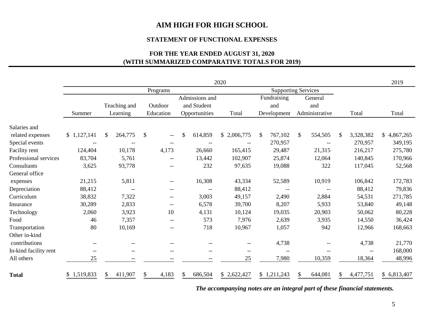### **STATEMENT OF FUNCTIONAL EXPENSES**

# **FOR THE YEAR ENDED AUGUST 31, 2020 (WITH SUMMARIZED COMPARATIVE TOTALS FOR 2019)**

|                       |                          |                |                          |                          | 2020            |                          |                            |                 | 2019            |
|-----------------------|--------------------------|----------------|--------------------------|--------------------------|-----------------|--------------------------|----------------------------|-----------------|-----------------|
|                       |                          |                | Programs                 |                          |                 |                          | <b>Supporting Services</b> |                 |                 |
|                       |                          |                |                          | Admissions and           |                 | Fundraising              | General                    |                 |                 |
|                       |                          | Teaching and   | Outdoor                  | and Student              |                 | and                      | and                        |                 |                 |
|                       | Summer                   | Learning       | Education                | Opportunities            | Total           | Development              | Administrative             | Total           | Total           |
| Salaries and          |                          |                |                          |                          |                 |                          |                            |                 |                 |
| related expenses      | \$1,127,141              | 264,775<br>\$. | $\mathbb{S}$<br>$-$      | \$<br>614,859            | 2,006,775<br>\$ | 767,102<br><sup>\$</sup> | 554,505<br>\$              | 3,328,382<br>\$ | 4,867,265<br>\$ |
| Special events        |                          |                |                          |                          |                 | 270,957                  | --                         | 270,957         | 349,195         |
| Facility rent         | 124,404                  | 10,178         | 4,173                    | 26,660                   | 165,415         | 29,487                   | 21,315                     | 216,217         | 275,780         |
| Professional services | 83,704                   | 5,761          | $-\!$ $\!-$              | 13,442                   | 102,907         | 25,874                   | 12,064                     | 140,845         | 170,966         |
| Consultants           | 3,625                    | 93,778         | $-\!$                    | 232                      | 97,635          | 19,088                   | 322                        | 117,045         | 52,568          |
| General office        |                          |                |                          |                          |                 |                          |                            |                 |                 |
| expenses              | 21,215                   | 5,811          |                          | 16,308                   | 43,334          | 52,589                   | 10,919                     | 106,842         | 172,783         |
| Depreciation          | 88,412                   |                | $- -$                    |                          | 88,412          |                          |                            | 88,412          | 79,836          |
| Curriculum            | 38,832                   | 7,322          | $-\!$ $\!-$              | 3,003                    | 49,157          | 2,490                    | 2,884                      | 54,531          | 271,785         |
| Insurance             | 30,289                   | 2,833          | $-\!$ $\!-$              | 6,578                    | 39,700          | 8,207                    | 5,933                      | 53,840          | 49,148          |
| Technology            | 2,060                    | 3,923          | 10                       | 4,131                    | 10,124          | 19,035                   | 20,903                     | 50,062          | 80,228          |
| Food                  | 46                       | 7,357          | $\overline{\phantom{a}}$ | 573                      | 7,976           | 2,639                    | 3,935                      | 14,550          | 36,424          |
| Transportation        | 80                       | 10,169         | --                       | 718                      | 10,967          | 1,057                    | 942                        | 12,966          | 168,663         |
| Other in-kind         |                          |                |                          |                          |                 |                          |                            |                 |                 |
| contributions         |                          |                |                          |                          |                 | 4,738                    |                            | 4,738           | 21,770          |
| In-kind facility rent | $\overline{\phantom{m}}$ | $--$           | $\overline{\phantom{m}}$ | $\overline{\phantom{m}}$ | $-\!$ $\!-$     | $-\!$                    | --                         | $-$             | 168,000         |
| All others            | 25                       | --             |                          |                          | 25              | 7,980                    | 10,359                     | 18,364          | 48,996          |
| <b>Total</b>          | \$1,519,833              | 411,907        | 4,183<br>\$              | 686,504<br>\$            | \$2,622,427     | \$1,211,243              | 644,081<br>\$.             | 4,477,751<br>\$ | \$6,813,407     |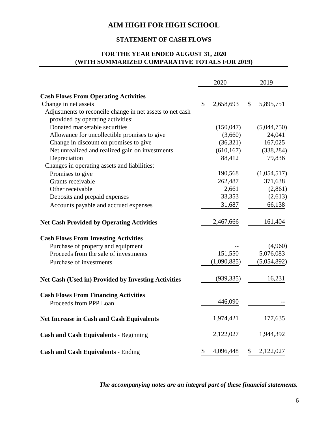# **STATEMENT OF CASH FLOWS**

## **FOR THE YEAR ENDED AUGUST 31, 2020 (WITH SUMMARIZED COMPARATIVE TOTALS FOR 2019)**

|                                                           | 2020            | 2019            |
|-----------------------------------------------------------|-----------------|-----------------|
| <b>Cash Flows From Operating Activities</b>               |                 |                 |
| Change in net assets                                      | \$<br>2,658,693 | \$<br>5,895,751 |
| Adjustments to reconcile change in net assets to net cash |                 |                 |
| provided by operating activities:                         |                 |                 |
| Donated marketable securities                             | (150, 047)      | (5,044,750)     |
| Allowance for uncollectible promises to give              | (3,660)         | 24,041          |
| Change in discount on promises to give                    | (36,321)        | 167,025         |
| Net unrealized and realized gain on investments           | (610, 167)      | (338, 284)      |
| Depreciation                                              | 88,412          | 79,836          |
| Changes in operating assets and liabilities:              |                 |                 |
| Promises to give                                          | 190,568         | (1,054,517)     |
| Grants receivable                                         | 262,487         | 371,638         |
| Other receivable                                          | 2,661           | (2,861)         |
| Deposits and prepaid expenses                             | 33,353          | (2,613)         |
| Accounts payable and accrued expenses                     | 31,687          | 66,138          |
| <b>Net Cash Provided by Operating Activities</b>          | 2,467,666       | 161,404         |
| <b>Cash Flows From Investing Activities</b>               |                 |                 |
| Purchase of property and equipment                        |                 | (4,960)         |
| Proceeds from the sale of investments                     | 151,550         | 5,076,083       |
| Purchase of investments                                   | (1,090,885)     | (5,054,892)     |
| Net Cash (Used in) Provided by Investing Activities       | (939, 335)      | 16,231          |
| <b>Cash Flows From Financing Activities</b>               |                 |                 |
| Proceeds from PPP Loan                                    | 446,090         |                 |
| <b>Net Increase in Cash and Cash Equivalents</b>          | 1,974,421       | 177,635         |
| <b>Cash and Cash Equivalents - Beginning</b>              | 2,122,027       | 1,944,392       |
| <b>Cash and Cash Equivalents - Ending</b>                 | \$<br>4,096,448 | \$<br>2,122,027 |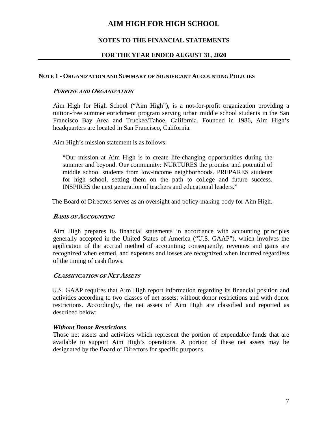## **NOTES TO THE FINANCIAL STATEMENTS**

## **FOR THE YEAR ENDED AUGUST 31, 2020**

### **NOTE 1 - ORGANIZATION AND SUMMARY OF SIGNIFICANT ACCOUNTING POLICIES**

#### **PURPOSE AND ORGANIZATION**

 Aim High for High School ("Aim High"), is a not-for-profit organization providing a tuition-free summer enrichment program serving urban middle school students in the San Francisco Bay Area and Truckee/Tahoe, California. Founded in 1986, Aim High's headquarters are located in San Francisco, California.

Aim High's mission statement is as follows:

"Our mission at Aim High is to create life-changing opportunities during the summer and beyond. Our community: NURTURES the promise and potential of middle school students from low-income neighborhoods. PREPARES students for high school, setting them on the path to college and future success. INSPIRES the next generation of teachers and educational leaders."

The Board of Directors serves as an oversight and policy-making body for Aim High.

## **BASIS OF ACCOUNTING**

 Aim High prepares its financial statements in accordance with accounting principles generally accepted in the United States of America ("U.S. GAAP"), which involves the application of the accrual method of accounting; consequently, revenues and gains are recognized when earned, and expenses and losses are recognized when incurred regardless of the timing of cash flows.

#### **CLASSIFICATION OF NET ASSETS**

 U.S. GAAP requires that Aim High report information regarding its financial position and activities according to two classes of net assets: without donor restrictions and with donor restrictions. Accordingly, the net assets of Aim High are classified and reported as described below:

## *Without Donor Restrictions*

Those net assets and activities which represent the portion of expendable funds that are available to support Aim High's operations. A portion of these net assets may be designated by the Board of Directors for specific purposes.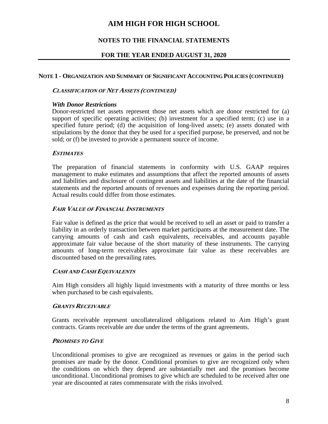## **NOTES TO THE FINANCIAL STATEMENTS**

## **FOR THE YEAR ENDED AUGUST 31, 2020**

### **NOTE 1 - ORGANIZATION AND SUMMARY OF SIGNIFICANT ACCOUNTING POLICIES (CONTINUED)**

#### **CLASSIFICATION OF NET ASSETS (CONTINUED)**

### *With Donor Restrictions*

Donor-restricted net assets represent those net assets which are donor restricted for (a) support of specific operating activities; (b) investment for a specified term; (c) use in a specified future period; (d) the acquisition of long-lived assets; (e) assets donated with stipulations by the donor that they be used for a specified purpose, be preserved, and not be sold; or (f) be invested to provide a permanent source of income.

### **ESTIMATES**

 The preparation of financial statements in conformity with U.S. GAAP requires management to make estimates and assumptions that affect the reported amounts of assets and liabilities and disclosure of contingent assets and liabilities at the date of the financial statements and the reported amounts of revenues and expenses during the reporting period. Actual results could differ from those estimates.

### **FAIR VALUE OF FINANCIAL INSTRUMENTS**

 Fair value is defined as the price that would be received to sell an asset or paid to transfer a liability in an orderly transaction between market participants at the measurement date. The carrying amounts of cash and cash equivalents, receivables, and accounts payable approximate fair value because of the short maturity of these instruments. The carrying amounts of long-term receivables approximate fair value as these receivables are discounted based on the prevailing rates.

## **CASH AND CASH EQUIVALENTS**

 Aim High considers all highly liquid investments with a maturity of three months or less when purchased to be cash equivalents.

## **GRANTS RECEIVABLE**

 Grants receivable represent uncollateralized obligations related to Aim High's grant contracts. Grants receivable are due under the terms of the grant agreements.

#### **PROMISES TO GIVE**

 Unconditional promises to give are recognized as revenues or gains in the period such promises are made by the donor. Conditional promises to give are recognized only when the conditions on which they depend are substantially met and the promises become unconditional. Unconditional promises to give which are scheduled to be received after one year are discounted at rates commensurate with the risks involved.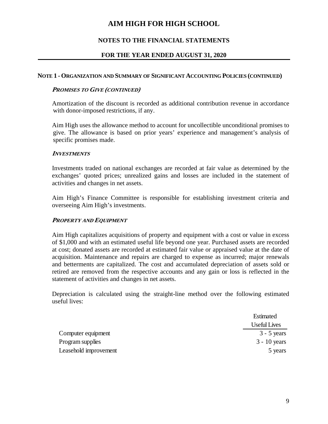## **NOTES TO THE FINANCIAL STATEMENTS**

## **FOR THE YEAR ENDED AUGUST 31, 2020**

## **NOTE 1 - ORGANIZATION AND SUMMARY OF SIGNIFICANT ACCOUNTING POLICIES (CONTINUED)**

## **PROMISES TO GIVE (CONTINUED)**

Amortization of the discount is recorded as additional contribution revenue in accordance with donor-imposed restrictions, if any.

Aim High uses the allowance method to account for uncollectible unconditional promises to give. The allowance is based on prior years' experience and management's analysis of specific promises made.

## **INVESTMENTS**

Investments traded on national exchanges are recorded at fair value as determined by the exchanges' quoted prices; unrealized gains and losses are included in the statement of activities and changes in net assets.

Aim High's Finance Committee is responsible for establishing investment criteria and overseeing Aim High's investments.

## **PROPERTY AND EQUIPMENT**

 Aim High capitalizes acquisitions of property and equipment with a cost or value in excess of \$1,000 and with an estimated useful life beyond one year. Purchased assets are recorded at cost; donated assets are recorded at estimated fair value or appraised value at the date of acquisition. Maintenance and repairs are charged to expense as incurred; major renewals and betterments are capitalized. The cost and accumulated depreciation of assets sold or retired are removed from the respective accounts and any gain or loss is reflected in the statement of activities and changes in net assets.

Depreciation is calculated using the straight-line method over the following estimated useful lives:

|                       | <b>Estimated</b>    |
|-----------------------|---------------------|
|                       | <b>Useful Lives</b> |
| Computer equipment    | $3 - 5$ years       |
| Program supplies      | $3 - 10$ years      |
| Leasehold improvement | 5 years             |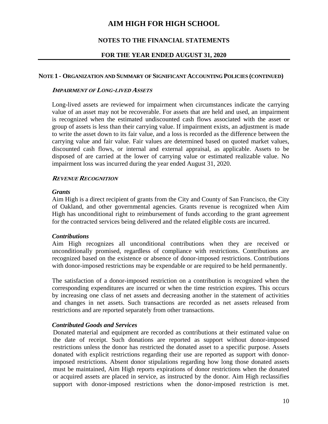## **NOTES TO THE FINANCIAL STATEMENTS**

## **FOR THE YEAR ENDED AUGUST 31, 2020**

#### **NOTE 1 - ORGANIZATION AND SUMMARY OF SIGNIFICANT ACCOUNTING POLICIES (CONTINUED)**

#### **IMPAIRMENT OF LONG-LIVED ASSETS**

Long-lived assets are reviewed for impairment when circumstances indicate the carrying value of an asset may not be recoverable. For assets that are held and used, an impairment is recognized when the estimated undiscounted cash flows associated with the asset or group of assets is less than their carrying value. If impairment exists, an adjustment is made to write the asset down to its fair value, and a loss is recorded as the difference between the carrying value and fair value. Fair values are determined based on quoted market values, discounted cash flows, or internal and external appraisal, as applicable. Assets to be disposed of are carried at the lower of carrying value or estimated realizable value. No impairment loss was incurred during the year ended August 31, 2020.

## **REVENUE RECOGNITION**

### *Grants*

Aim High is a direct recipient of grants from the City and County of San Francisco, the City of Oakland, and other governmental agencies. Grants revenue is recognized when Aim High has unconditional right to reimbursement of funds according to the grant agreement for the contracted services being delivered and the related eligible costs are incurred.

## *Contributions*

 Aim High recognizes all unconditional contributions when they are received or unconditionally promised, regardless of compliance with restrictions. Contributions are recognized based on the existence or absence of donor-imposed restrictions. Contributions with donor-imposed restrictions may be expendable or are required to be held permanently.

 The satisfaction of a donor-imposed restriction on a contribution is recognized when the corresponding expenditures are incurred or when the time restriction expires. This occurs by increasing one class of net assets and decreasing another in the statement of activities and changes in net assets. Such transactions are recorded as net assets released from restrictions and are reported separately from other transactions.

## *Contributed Goods and Services*

Donated material and equipment are recorded as contributions at their estimated value on the date of receipt. Such donations are reported as support without donor-imposed restrictions unless the donor has restricted the donated asset to a specific purpose. Assets donated with explicit restrictions regarding their use are reported as support with donorimposed restrictions. Absent donor stipulations regarding how long those donated assets must be maintained, Aim High reports expirations of donor restrictions when the donated or acquired assets are placed in service, as instructed by the donor. Aim High reclassifies support with donor-imposed restrictions when the donor-imposed restriction is met.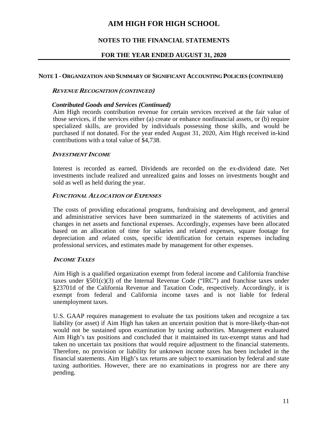## **NOTES TO THE FINANCIAL STATEMENTS**

## **FOR THE YEAR ENDED AUGUST 31, 2020**

#### **NOTE 1 - ORGANIZATION AND SUMMARY OF SIGNIFICANT ACCOUNTING POLICIES (CONTINUED)**

### **REVENUE RECOGNITION (CONTINUED)**

### *Contributed Goods and Services (Continued)*

Aim High records contribution revenue for certain services received at the fair value of those services, if the services either (a) create or enhance nonfinancial assets, or (b) require specialized skills, are provided by individuals possessing those skills, and would be purchased if not donated. For the year ended August 31, 2020, Aim High received in-kind contributions with a total value of \$4,738.

### **INVESTMENT INCOME**

 Interest is recorded as earned. Dividends are recorded on the ex-dividend date. Net investments include realized and unrealized gains and losses on investments bought and sold as well as held during the year.

### **FUNCTIONAL ALLOCATION OF EXPENSES**

The costs of providing educational programs, fundraising and development, and general and administrative services have been summarized in the statements of activities and changes in net assets and functional expenses. Accordingly, expenses have been allocated based on an allocation of time for salaries and related expenses, square footage for depreciation and related costs, specific identification for certain expenses including professional services, and estimates made by management for other expenses.

## **INCOME TAXES**

Aim High is a qualified organization exempt from federal income and California franchise taxes under  $\S501(c)(3)$  of the Internal Revenue Code ("IRC") and franchise taxes under §23701d of the California Revenue and Taxation Code, respectively. Accordingly, it is exempt from federal and California income taxes and is not liable for federal unemployment taxes.

U.S. GAAP requires management to evaluate the tax positions taken and recognize a tax liability (or asset) if Aim High has taken an uncertain position that is more-likely-than-not would not be sustained upon examination by taxing authorities. Management evaluated Aim High's tax positions and concluded that it maintained its tax-exempt status and had taken no uncertain tax positions that would require adjustment to the financial statements. Therefore, no provision or liability for unknown income taxes has been included in the financial statements. Aim High's tax returns are subject to examination by federal and state taxing authorities. However, there are no examinations in progress nor are there any pending.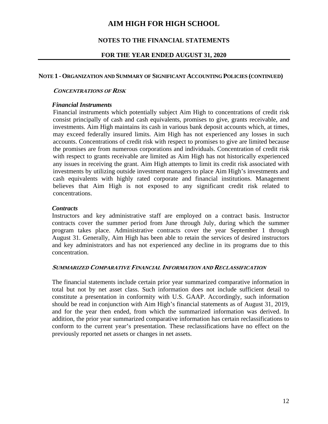## **NOTES TO THE FINANCIAL STATEMENTS**

## **FOR THE YEAR ENDED AUGUST 31, 2020**

#### **NOTE 1 - ORGANIZATION AND SUMMARY OF SIGNIFICANT ACCOUNTING POLICIES (CONTINUED)**

#### **CONCENTRATIONS OF RISK**

### *Financial Instruments*

 Financial instruments which potentially subject Aim High to concentrations of credit risk consist principally of cash and cash equivalents, promises to give, grants receivable, and investments. Aim High maintains its cash in various bank deposit accounts which, at times, may exceed federally insured limits. Aim High has not experienced any losses in such accounts. Concentrations of credit risk with respect to promises to give are limited because the promises are from numerous corporations and individuals. Concentration of credit risk with respect to grants receivable are limited as Aim High has not historically experienced any issues in receiving the grant. Aim High attempts to limit its credit risk associated with investments by utilizing outside investment managers to place Aim High's investments and cash equivalents with highly rated corporate and financial institutions. Management believes that Aim High is not exposed to any significant credit risk related to concentrations.

### *Contracts*

Instructors and key administrative staff are employed on a contract basis. Instructor contracts cover the summer period from June through July, during which the summer program takes place. Administrative contracts cover the year September 1 through August 31. Generally, Aim High has been able to retain the services of desired instructors and key administrators and has not experienced any decline in its programs due to this concentration.

#### **SUMMARIZED COMPARATIVE FINANCIAL INFORMATION AND RECLASSIFICATION**

The financial statements include certain prior year summarized comparative information in total but not by net asset class. Such information does not include sufficient detail to constitute a presentation in conformity with U.S. GAAP. Accordingly, such information should be read in conjunction with Aim High's financial statements as of August 31, 2019, and for the year then ended, from which the summarized information was derived. In addition, the prior year summarized comparative information has certain reclassifications to conform to the current year's presentation. These reclassifications have no effect on the previously reported net assets or changes in net assets.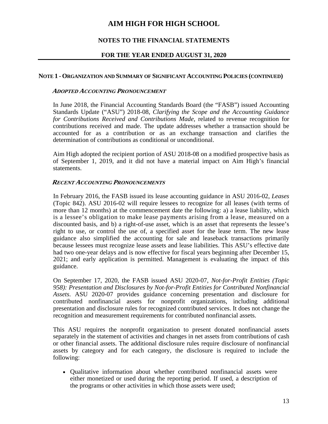## **NOTES TO THE FINANCIAL STATEMENTS**

## **FOR THE YEAR ENDED AUGUST 31, 2020**

#### **NOTE 1 - ORGANIZATION AND SUMMARY OF SIGNIFICANT ACCOUNTING POLICIES (CONTINUED)**

#### **ADOPTED ACCOUNTING PRONOUNCEMENT**

In June 2018, the Financial Accounting Standards Board (the "FASB") issued Accounting Standards Update ("ASU") 2018-08, *Clarifying the Scope and the Accounting Guidance for Contributions Received and Contributions Made,* related to revenue recognition for contributions received and made. The update addresses whether a transaction should be accounted for as a contribution or as an exchange transaction and clarifies the determination of contributions as conditional or unconditional.

Aim High adopted the recipient portion of ASU 2018-08 on a modified prospective basis as of September 1, 2019, and it did not have a material impact on Aim High's financial statements.

### **RECENT ACCOUNTING PRONOUNCEMENTS**

In February 2016, the FASB issued its lease accounting guidance in ASU 2016-02, *Leases*  (Topic 842). ASU 2016-02 will require lessees to recognize for all leases (with terms of more than 12 months) at the commencement date the following: a) a lease liability, which is a lessee's obligation to make lease payments arising from a lease, measured on a discounted basis, and b) a right-of-use asset, which is an asset that represents the lessee's right to use, or control the use of, a specified asset for the lease term. The new lease guidance also simplified the accounting for sale and leaseback transactions primarily because lessees must recognize lease assets and lease liabilities. This ASU's effective date had two one-year delays and is now effective for fiscal years beginning after December 15, 2021; and early application is permitted. Management is evaluating the impact of this guidance.

On September 17, 2020, the FASB issued ASU 2020-07, *Not-for-Profit Entities (Topic 958): Presentation and Disclosures by Not-for-Profit Entities for Contributed Nonfinancial Assets*. ASU 2020-07 provides guidance concerning presentation and disclosure for contributed nonfinancial assets for nonprofit organizations, including additional presentation and disclosure rules for recognized contributed services. It does not change the recognition and measurement requirements for contributed nonfinancial assets.

This ASU requires the nonprofit organization to present donated nonfinancial assets separately in the statement of activities and changes in net assets from contributions of cash or other financial assets. The additional disclosure rules require disclosure of nonfinancial assets by category and for each category, the disclosure is required to include the following:

 Qualitative information about whether contributed nonfinancial assets were either monetized or used during the reporting period. If used, a description of the programs or other activities in which those assets were used;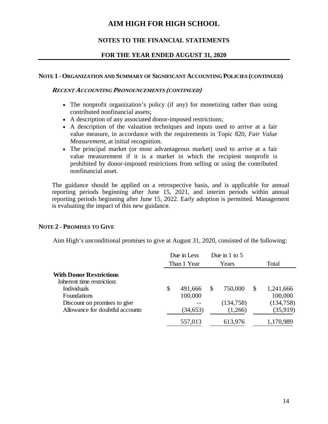## **NOTES TO THE FINANCIAL STATEMENTS**

## **FOR THE YEAR ENDED AUGUST 31, 2020**

### **NOTE 1 - ORGANIZATION AND SUMMARY OF SIGNIFICANT ACCOUNTING POLICIES (CONTINUED)**

#### **RECENT ACCOUNTING PRONOUNCEMENTS (CONTINUED)**

- The nonprofit organization's policy (if any) for monetizing rather than using contributed nonfinancial assets;
- A description of any associated donor-imposed restrictions;
- A description of the valuation techniques and inputs used to arrive at a fair value measure, in accordance with the requirements in Topic 820, *Fair Value Measurement*, at initial recognition.
- The principal market (or most advantageous market) used to arrive at a fair value measurement if it is a market in which the recipient nonprofit is prohibited by donor-imposed restrictions from selling or using the contributed nonfinancial asset.

The guidance should be applied on a retrospective basis, and is applicable for annual reporting periods beginning after June 15, 2021, and interim periods within annual reporting periods beginning after June 15, 2022. Early adoption is permitted. Management is evaluating the impact of this new guidance.

## **NOTE 2 - PROMISES TO GIVE**

Aim High's unconditional promises to give at August 31, 2020, consisted of the following:

|                                 | Due in Less   |   | Due in 1 to 5 |                 |
|---------------------------------|---------------|---|---------------|-----------------|
|                                 | Than 1 Year   |   | Years         | Total           |
| <b>With Donor Restrictions</b>  |               |   |               |                 |
| Inherent time restriction:      |               |   |               |                 |
| Individuals                     | \$<br>491,666 | S | 750,000       | \$<br>1,241,666 |
| <b>Foundations</b>              | 100,000       |   |               | 100,000         |
| Discount on promises to give    |               |   | (134,758)     | (134, 758)      |
| Allowance for doubtful accounts | (34, 653)     |   | (1,266)       | (35,919)        |
|                                 | 557,013       |   | 613,976       | 1,170,989       |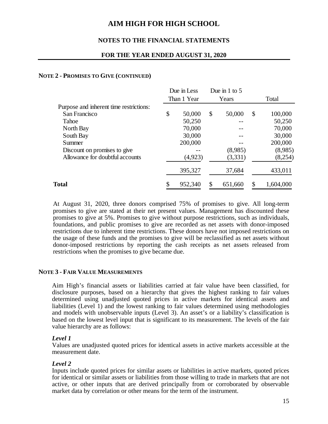## **NOTES TO THE FINANCIAL STATEMENTS**

## **FOR THE YEAR ENDED AUGUST 31, 2020**

### **NOTE 2 - PROMISES TO GIVE (CONTINUED)**

|                                         | Due in Less   | Due in $1$ to $5$ |                 |
|-----------------------------------------|---------------|-------------------|-----------------|
|                                         | Than 1 Year   | Years             | Total           |
| Purpose and inherent time restrictions: |               |                   |                 |
| San Francisco                           | \$<br>50,000  | \$<br>50,000      | \$<br>100,000   |
| Tahoe                                   | 50,250        |                   | 50,250          |
| North Bay                               | 70,000        |                   | 70,000          |
| South Bay                               | 30,000        |                   | 30,000          |
| Summer                                  | 200,000       |                   | 200,000         |
| Discount on promises to give            |               | (8,985)           | (8,985)         |
| Allowance for doubtful accounts         | (4,923)       | (3,331)           | (8,254)         |
|                                         | 395,327       | 37,684            | 433,011         |
| Total                                   | \$<br>952,340 | \$<br>651,660     | \$<br>1,604,000 |

 At August 31, 2020, three donors comprised 75% of promises to give. All long-term promises to give are stated at their net present values. Management has discounted these promises to give at 5%. Promises to give without purpose restrictions, such as individuals, foundations, and public promises to give are recorded as net assets with donor-imposed restrictions due to inherent time restrictions. These donors have not imposed restrictions on the usage of these funds and the promises to give will be reclassified as net assets without donor-imposed restrictions by reporting the cash receipts as net assets released from restrictions when the promises to give became due.

#### **NOTE 3 - FAIR VALUE MEASUREMENTS**

Aim High's financial assets or liabilities carried at fair value have been classified, for disclosure purposes, based on a hierarchy that gives the highest ranking to fair values determined using unadjusted quoted prices in active markets for identical assets and liabilities (Level 1) and the lowest ranking to fair values determined using methodologies and models with unobservable inputs (Level 3). An asset's or a liability's classification is based on the lowest level input that is significant to its measurement. The levels of the fair value hierarchy are as follows:

## *Level 1*

Values are unadjusted quoted prices for identical assets in active markets accessible at the measurement date.

## *Level 2*

Inputs include quoted prices for similar assets or liabilities in active markets, quoted prices for identical or similar assets or liabilities from those willing to trade in markets that are not active, or other inputs that are derived principally from or corroborated by observable market data by correlation or other means for the term of the instrument.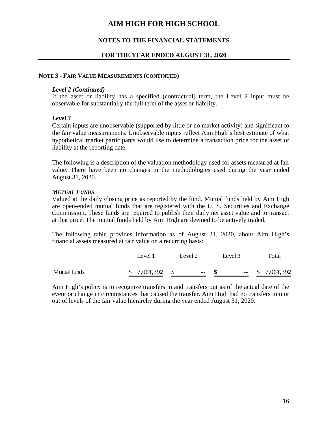## **NOTES TO THE FINANCIAL STATEMENTS**

### **FOR THE YEAR ENDED AUGUST 31, 2020**

#### **NOTE 3 - FAIR VALUE MEASUREMENTS (CONTINUED)**

#### *Level 2 (Continued)*

If the asset or liability has a specified (contractual) term, the Level 2 input must be observable for substantially the full term of the asset or liability.

#### *Level 3*

Certain inputs are unobservable (supported by little or no market activity) and significant to the fair value measurements. Unobservable inputs reflect Aim High's best estimate of what hypothetical market participants would use to determine a transaction price for the asset or liability at the reporting date.

The following is a description of the valuation methodology used for assets measured at fair value. There have been no changes in the methodologies used during the year ended August 31, 2020.

#### *MUTUAL FUNDS*

Valued at the daily closing price as reported by the fund. Mutual funds held by Aim High are open-ended mutual funds that are registered with the U. S. Securities and Exchange Commission. These funds are required to publish their daily net asset value and to transact at that price. The mutual funds held by Aim High are deemed to be actively traded.

The following table provides information as of August 31, 2020, about Aim High's financial assets measured at fair value on a recurring basis:

|              | Level 1           | Level 2 | Level 3 | Total            |
|--------------|-------------------|---------|---------|------------------|
| Mutual funds | $$7,061,392$ \ \$ | $- -$   |         | $-$ \$ 7,061,392 |

Aim High's policy is to recognize transfers in and transfers out as of the actual date of the event or change in circumstances that caused the transfer. Aim High had no transfers into or out of levels of the fair value hierarchy during the year ended August 31, 2020.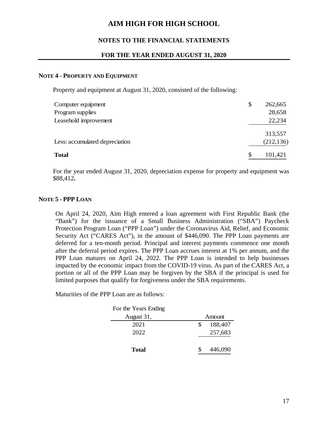## **NOTES TO THE FINANCIAL STATEMENTS**

## **FOR THE YEAR ENDED AUGUST 31, 2020**

#### **NOTE 4 - PROPERTY AND EQUIPMENT**

Property and equipment at August 31, 2020, consisted of the following:

| Computer equipment             | \$<br>262,665 |
|--------------------------------|---------------|
| Program supplies               | 28,658        |
| Leasehold improvement          | 22,234        |
|                                | 313,557       |
| Less: accumulated depreciation | (212, 136)    |
| <b>Total</b>                   | S<br>101,421  |

For the year ended August 31, 2020, depreciation expense for property and equipment was \$88,412**.** 

### **NOTE 5 - PPP LOAN**

On April 24, 2020, Aim High entered a loan agreement with First Republic Bank (the "Bank") for the issuance of a Small Business Administration ("SBA") Paycheck Protection Program Loan ("PPP Loan") under the Coronavirus Aid, Relief, and Economic Security Act ("CARES Act"), in the amount of \$446,090. The PPP Loan payments are deferred for a ten-month period. Principal and interest payments commence one month after the deferral period expires. The PPP Loan accrues interest at 1% per annum, and the PPP Loan matures on April 24, 2022. The PPP Loan is intended to help businesses impacted by the economic impact from the COVID-19 virus. As part of the CARES Act, a portion or all of the PPP Loan may be forgiven by the SBA if the principal is used for limited purposes that qualify for forgiveness under the SBA requirements.

Maturities of the PPP Loan are as follows:

| For the Years Ending |   |         |
|----------------------|---|---------|
| August 31,           |   | Amount  |
| 2021                 | S | 188,407 |
| 2022                 |   | 257,683 |
| <b>Total</b>         |   | 446,090 |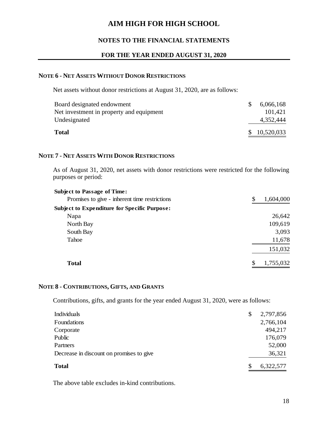## **NOTES TO THE FINANCIAL STATEMENTS**

## **FOR THE YEAR ENDED AUGUST 31, 2020**

## **NOTE 6 - NET ASSETS WITHOUT DONOR RESTRICTIONS**

Net assets without donor restrictions at August 31, 2020, are as follows:

| Board designated endowment               | -SS | 6,066,168    |
|------------------------------------------|-----|--------------|
| Net investment in property and equipment |     | 101,421      |
| Undesignated                             |     | 4,352,444    |
| <b>Total</b>                             |     | \$10,520,033 |

#### **NOTE 7 - NET ASSETS WITH DONOR RESTRICTIONS**

As of August 31, 2020, net assets with donor restrictions were restricted for the following purposes or period:

| <b>Subject to Passage of Time:</b>                  |                 |
|-----------------------------------------------------|-----------------|
| Promises to give - inherent time restrictions       | \$<br>1,604,000 |
| <b>Subject to Expenditure for Specific Purpose:</b> |                 |
| Napa                                                | 26,642          |
| North Bay                                           | 109,619         |
| South Bay                                           | 3,093           |
| Tahoe                                               | 11,678          |
|                                                     | 151,032         |
| <b>Total</b>                                        | 1,755,032       |

## **NOTE 8 - CONTRIBUTIONS, GIFTS, AND GRANTS**

Contributions, gifts, and grants for the year ended August 31, 2020, were as follows:

| Individuals                              | \$ | 2,797,856 |
|------------------------------------------|----|-----------|
| <b>Foundations</b>                       |    | 2,766,104 |
| Corporate                                |    | 494,217   |
| Public                                   |    | 176,079   |
| Partners                                 |    | 52,000    |
| Decrease in discount on promises to give |    | 36,321    |
| <b>Total</b>                             | S  | 6,322,577 |

The above table excludes in-kind contributions.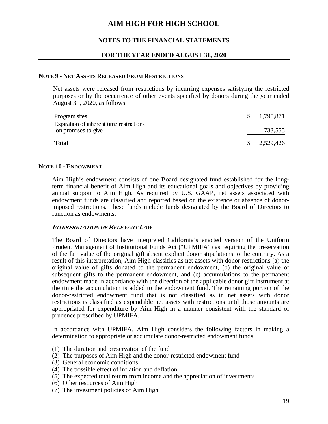## **NOTES TO THE FINANCIAL STATEMENTS**

## **FOR THE YEAR ENDED AUGUST 31, 2020**

#### **NOTE 9 - NET ASSETS RELEASED FROM RESTRICTIONS**

 Net assets were released from restrictions by incurring expenses satisfying the restricted purposes or by the occurrence of other events specified by donors during the year ended August 31, 2020, as follows:

| Total                                                           | S. | 2,529,426   |
|-----------------------------------------------------------------|----|-------------|
| Expiration of inherent time restrictions<br>on promises to give |    | 733,555     |
| Program sites                                                   |    | \$1,795,871 |

#### **NOTE 10 - ENDOWMENT**

Aim High's endowment consists of one Board designated fund established for the longterm financial benefit of Aim High and its educational goals and objectives by providing annual support to Aim High. As required by U.S. GAAP, net assets associated with endowment funds are classified and reported based on the existence or absence of donorimposed restrictions. These funds include funds designated by the Board of Directors to function as endowments.

#### **INTERPRETATION OF RELEVANT LAW**

The Board of Directors have interpreted California's enacted version of the Uniform Prudent Management of Institutional Funds Act ("UPMIFA") as requiring the preservation of the fair value of the original gift absent explicit donor stipulations to the contrary. As a result of this interpretation, Aim High classifies as net assets with donor restrictions (a) the original value of gifts donated to the permanent endowment, (b) the original value of subsequent gifts to the permanent endowment, and (c) accumulations to the permanent endowment made in accordance with the direction of the applicable donor gift instrument at the time the accumulation is added to the endowment fund. The remaining portion of the donor-restricted endowment fund that is not classified as in net assets with donor restrictions is classified as expendable net assets with restrictions until those amounts are appropriated for expenditure by Aim High in a manner consistent with the standard of prudence prescribed by UPMIFA.

In accordance with UPMIFA, Aim High considers the following factors in making a determination to appropriate or accumulate donor-restricted endowment funds:

- (1) The duration and preservation of the fund
- (2) The purposes of Aim High and the donor-restricted endowment fund
- (3) General economic conditions
- (4) The possible effect of inflation and deflation
- (5) The expected total return from income and the appreciation of investments
- (6) Other resources of Aim High
- (7) The investment policies of Aim High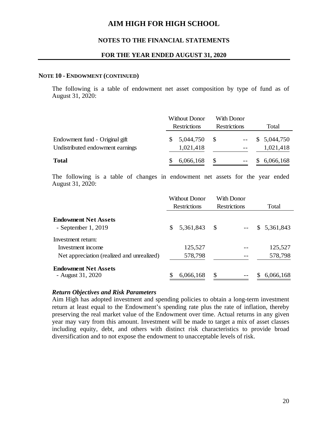## **NOTES TO THE FINANCIAL STATEMENTS**

#### **FOR THE YEAR ENDED AUGUST 31, 2020**

#### **NOTE 10 - ENDOWMENT (CONTINUED)**

The following is a table of endowment net asset composition by type of fund as of August 31, 2020:

|                                                                    |                     | Without Donor          |                     | With Donor |                          |
|--------------------------------------------------------------------|---------------------|------------------------|---------------------|------------|--------------------------|
|                                                                    | <b>Restrictions</b> |                        | <b>Restrictions</b> |            | Total                    |
| Endowment fund - Original gift<br>Undistributed endowment earnings |                     | 5,044,750<br>1,021,418 | - S                 | $- -$      | \$5,044,750<br>1,021,418 |
| <b>Total</b>                                                       |                     | 6,066,168              |                     |            | 6,066,168                |

The following is a table of changes in endowment net assets for the year ended August 31, 2020:

|                                                      | <b>Without Donor</b><br><b>Restrictions</b> |           | With Donor<br><b>Restrictions</b> |       |    |           |
|------------------------------------------------------|---------------------------------------------|-----------|-----------------------------------|-------|----|-----------|
|                                                      |                                             |           |                                   |       |    | Total     |
| <b>Endowment Net Assets</b><br>- September $1, 2019$ | \$.                                         | 5,361,843 | \$                                |       | S. | 5,361,843 |
| Investment return:                                   |                                             |           |                                   |       |    |           |
| Investment income                                    |                                             | 125,527   |                                   |       |    | 125,527   |
| Net appreciation (realized and unrealized)           |                                             | 578,798   |                                   |       |    | 578,798   |
| <b>Endowment Net Assets</b><br>- August 31, 2020     |                                             | 6,066,168 | \$                                | $- -$ |    | 6,066,168 |

#### *Return Objectives and Risk Parameters*

 Aim High has adopted investment and spending policies to obtain a long-term investment return at least equal to the Endowment's spending rate plus the rate of inflation, thereby preserving the real market value of the Endowment over time. Actual returns in any given year may vary from this amount. Investment will be made to target a mix of asset classes including equity, debt, and others with distinct risk characteristics to provide broad diversification and to not expose the endowment to unacceptable levels of risk.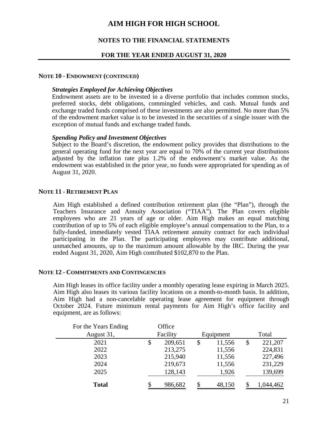## **NOTES TO THE FINANCIAL STATEMENTS**

### **FOR THE YEAR ENDED AUGUST 31, 2020**

#### **NOTE 10 - ENDOWMENT (CONTINUED)**

#### *Strategies Employed for Achieving Objectives*

Endowment assets are to be invested in a diverse portfolio that includes common stocks, preferred stocks, debt obligations, commingled vehicles, and cash. Mutual funds and exchange traded funds comprised of these investments are also permitted. No more than 5% of the endowment market value is to be invested in the securities of a single issuer with the exception of mutual funds and exchange traded funds.

#### *Spending Policy and Investment Objectives*

 Subject to the Board's discretion, the endowment policy provides that distributions to the general operating fund for the next year are equal to 70% of the current year distributions adjusted by the inflation rate plus 1.2% of the endowment's market value. As the endowment was established in the prior year, no funds were appropriated for spending as of August 31, 2020.

## **NOTE 11 - RETIREMENT PLAN**

Aim High established a defined contribution retirement plan (the "Plan"), through the Teachers Insurance and Annuity Association ("TIAA"). The Plan covers eligible employees who are 21 years of age or older. Aim High makes an equal matching contribution of up to 5% of each eligible employee's annual compensation to the Plan, to a fully-funded, immediately vested TIAA retirement annuity contract for each individual participating in the Plan. The participating employees may contribute additional, unmatched amounts, up to the maximum amount allowable by the IRC. During the year ended August 31, 2020, Aim High contributed \$102,870 to the Plan.

#### **NOTE 12 - COMMITMENTS AND CONTINGENCIES**

 Aim High leases its office facility under a monthly operating lease expiring in March 2025. Aim High also leases its various facility locations on a month-to-month basis. In addition, Aim High had a non-cancelable operating lease agreement for equipment through October 2024. Future minimum rental payments for Aim High's office facility and equipment, are as follows:

| For the Years Ending |    | Office   |              |               |
|----------------------|----|----------|--------------|---------------|
| August 31,           |    | Facility | Equipment    | Total         |
| 2021                 | \$ | 209,651  | \$<br>11,556 | \$<br>221,207 |
| 2022                 |    | 213,275  | 11,556       | 224,831       |
| 2023                 |    | 215,940  | 11,556       | 227,496       |
| 2024                 |    | 219,673  | 11,556       | 231,229       |
| 2025                 |    | 128,143  | 1,926        | 139,699       |
| <b>Total</b>         | S  | 986,682  | \$<br>48,150 | 1,044,462     |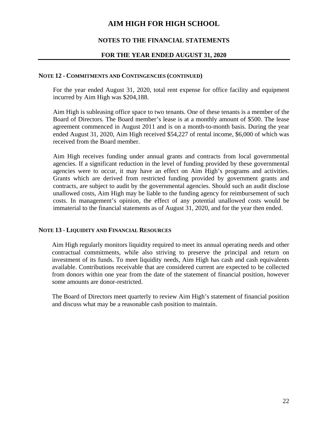## **NOTES TO THE FINANCIAL STATEMENTS**

## **FOR THE YEAR ENDED AUGUST 31, 2020**

#### **NOTE 12 - COMMITMENTS AND CONTINGENCIES (CONTINUED)**

For the year ended August 31, 2020, total rent expense for office facility and equipment incurred by Aim High was \$204,188.

 Aim High is subleasing office space to two tenants. One of these tenants is a member of the Board of Directors. The Board member's lease is at a monthly amount of \$500. The lease agreement commenced in August 2011 and is on a month-to-month basis. During the year ended August 31, 2020, Aim High received \$54,227 of rental income, \$6,000 of which was received from the Board member.

Aim High receives funding under annual grants and contracts from local governmental agencies. If a significant reduction in the level of funding provided by these governmental agencies were to occur, it may have an effect on Aim High's programs and activities. Grants which are derived from restricted funding provided by government grants and contracts, are subject to audit by the governmental agencies. Should such an audit disclose unallowed costs, Aim High may be liable to the funding agency for reimbursement of such costs. In management's opinion, the effect of any potential unallowed costs would be immaterial to the financial statements as of August 31, 2020, and for the year then ended.

## **NOTE 13 - LIQUIDITY AND FINANCIAL RESOURCES**

Aim High regularly monitors liquidity required to meet its annual operating needs and other contractual commitments, while also striving to preserve the principal and return on investment of its funds. To meet liquidity needs, Aim High has cash and cash equivalents available. Contributions receivable that are considered current are expected to be collected from donors within one year from the date of the statement of financial position, however some amounts are donor-restricted.

The Board of Directors meet quarterly to review Aim High's statement of financial position and discuss what may be a reasonable cash position to maintain.